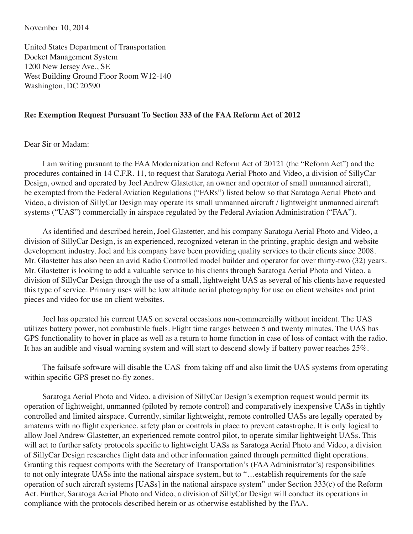November 10, 2014

United States Department of Transportation Docket Management System 1200 New Jersey Ave., SE West Building Ground Floor Room W12-140 Washington, DC 20590

## **Re: Exemption Request Pursuant To Section 333 of the FAA Reform Act of 2012**

Dear Sir or Madam:

I am writing pursuant to the FAA Modernization and Reform Act of 20121 (the "Reform Act") and the procedures contained in 14 C.F.R. 11, to request that Saratoga Aerial Photo and Video, a division of SillyCar Design, owned and operated by Joel Andrew Glastetter, an owner and operator of small unmanned aircraft, be exempted from the Federal Aviation Regulations ("FARs") listed below so that Saratoga Aerial Photo and Video, a division of SillyCar Design may operate its small unmanned aircraft / lightweight unmanned aircraft systems ("UAS") commercially in airspace regulated by the Federal Aviation Administration ("FAA").

As identified and described herein, Joel Glastetter, and his company Saratoga Aerial Photo and Video, a division of SillyCar Design, is an experienced, recognized veteran in the printing, graphic design and website development industry. Joel and his company have been providing quality services to their clients since 2008. Mr. Glastetter has also been an avid Radio Controlled model builder and operator for over thirty-two (32) years. Mr. Glastetter is looking to add a valuable service to his clients through Saratoga Aerial Photo and Video, a division of SillyCar Design through the use of a small, lightweight UAS as several of his clients have requested this type of service. Primary uses will be low altitude aerial photography for use on client websites and print pieces and video for use on client websites.

Joel has operated his current UAS on several occasions non-commercially without incident. The UAS utilizes battery power, not combustible fuels. Flight time ranges between 5 and twenty minutes. The UAS has GPS functionality to hover in place as well as a return to home function in case of loss of contact with the radio. It has an audible and visual warning system and will start to descend slowly if battery power reaches 25%.

The failsafe software will disable the UAS from taking off and also limit the UAS systems from operating within specific GPS preset no-fly zones.

Saratoga Aerial Photo and Video, a division of SillyCar Design's exemption request would permit its operation of lightweight, unmanned (piloted by remote control) and comparatively inexpensive UASs in tightly controlled and limited airspace. Currently, similar lightweight, remote controlled UASs are legally operated by amateurs with no flight experience, safety plan or controls in place to prevent catastrophe. It is only logical to allow Joel Andrew Glastetter, an experienced remote control pilot, to operate similar lightweight UASs. This will act to further safety protocols specific to lightweight UASs as Saratoga Aerial Photo and Video, a division of SillyCar Design researches flight data and other information gained through permitted flight operations. Granting this request comports with the Secretary of Transportation's (FAA Administrator's) responsibilities to not only integrate UASs into the national airspace system, but to "…establish requirements for the safe operation of such aircraft systems [UASs] in the national airspace system" under Section 333(c) of the Reform Act. Further, Saratoga Aerial Photo and Video, a division of SillyCar Design will conduct its operations in compliance with the protocols described herein or as otherwise established by the FAA.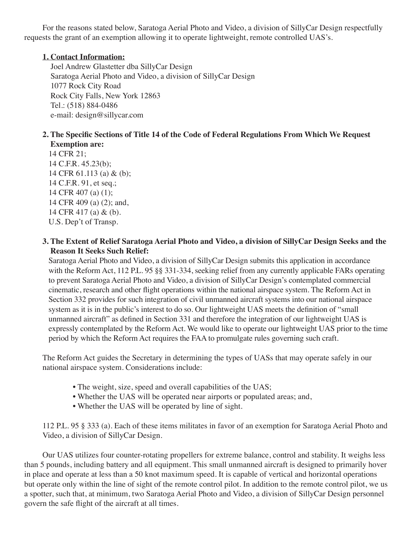For the reasons stated below, Saratoga Aerial Photo and Video, a division of SillyCar Design respectfully requests the grant of an exemption allowing it to operate lightweight, remote controlled UAS's.

# **1. Contact Information:**

Joel Andrew Glastetter dba SillyCar Design Saratoga Aerial Photo and Video, a division of SillyCar Design 1077 Rock City Road Rock City Falls, New York 12863 Tel.: (518) 884-0486 e-mail: design@sillycar.com

# **2. The Specific Sections of Title 14 of the Code of Federal Regulations From Which We Request Exemption are:**

 14 CFR 21; 14 C.F.R. 45.23(b); 14 CFR 61.113 (a) & (b); 14 C.F.R. 91, et seq.; 14 CFR 407 (a) (1); 14 CFR 409 (a) (2); and, 14 CFR 417 (a) & (b). U.S. Dep't of Transp.

# **3. The Extent of Relief Saratoga Aerial Photo and Video, a division of SillyCar Design Seeks and the Reason It Seeks Such Relief:**

 Saratoga Aerial Photo and Video, a division of SillyCar Design submits this application in accordance with the Reform Act, 112 P.L. 95 §§ 331-334, seeking relief from any currently applicable FARs operating to prevent Saratoga Aerial Photo and Video, a division of SillyCar Design's contemplated commercial cinematic, research and other flight operations within the national airspace system. The Reform Act in Section 332 provides for such integration of civil unmanned aircraft systems into our national airspace system as it is in the public's interest to do so. Our lightweight UAS meets the definition of "small unmanned aircraft" as defined in Section 331 and therefore the integration of our lightweight UAS is expressly contemplated by the Reform Act. We would like to operate our lightweight UAS prior to the time period by which the Reform Act requires the FAA to promulgate rules governing such craft.

The Reform Act guides the Secretary in determining the types of UASs that may operate safely in our national airspace system. Considerations include:

- The weight, size, speed and overall capabilities of the UAS;
- Whether the UAS will be operated near airports or populated areas; and,
- Whether the UAS will be operated by line of sight.

112 P.L. 95 § 333 (a). Each of these items militates in favor of an exemption for Saratoga Aerial Photo and Video, a division of SillyCar Design.

Our UAS utilizes four counter-rotating propellers for extreme balance, control and stability. It weighs less than 5 pounds, including battery and all equipment. This small unmanned aircraft is designed to primarily hover in place and operate at less than a 50 knot maximum speed. It is capable of vertical and horizontal operations but operate only within the line of sight of the remote control pilot. In addition to the remote control pilot, we us a spotter, such that, at minimum, two Saratoga Aerial Photo and Video, a division of SillyCar Design personnel govern the safe flight of the aircraft at all times.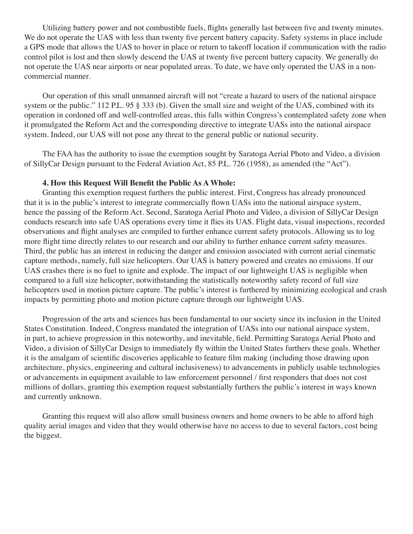Utilizing battery power and not combustible fuels, flights generally last between five and twenty minutes. We do not operate the UAS with less than twenty five percent battery capacity. Safety systems in place include a GPS mode that allows the UAS to hover in place or return to takeoff location if communication with the radio control pilot is lost and then slowly descend the UAS at twenty five percent battery capacity. We generally do not operate the UAS near airports or near populated areas. To date, we have only operated the UAS in a noncommercial manner.

Our operation of this small unmanned aircraft will not "create a hazard to users of the national airspace system or the public." 112 P.L. 95 § 333 (b). Given the small size and weight of the UAS, combined with its operation in cordoned off and well-controlled areas, this falls within Congress's contemplated safety zone when it promulgated the Reform Act and the corresponding directive to integrate UASs into the national airspace system. Indeed, our UAS will not pose any threat to the general public or national security.

The FAA has the authority to issue the exemption sought by Saratoga Aerial Photo and Video, a division of SillyCar Design pursuant to the Federal Aviation Act, 85 P.L. 726 (1958), as amended (the "Act").

#### **4. How this Request Will Benefit the Public As A Whole:**

Granting this exemption request furthers the public interest. First, Congress has already pronounced that it is in the public's interest to integrate commercially flown UASs into the national airspace system, hence the passing of the Reform Act. Second, Saratoga Aerial Photo and Video, a division of SillyCar Design conducts research into safe UAS operations every time it flies its UAS. Flight data, visual inspections, recorded observations and flight analyses are compiled to further enhance current safety protocols. Allowing us to log more flight time directly relates to our research and our ability to further enhance current safety measures. Third, the public has an interest in reducing the danger and emission associated with current aerial cinematic capture methods, namely, full size helicopters. Our UAS is battery powered and creates no emissions. If our UAS crashes there is no fuel to ignite and explode. The impact of our lightweight UAS is negligible when compared to a full size helicopter, notwithstanding the statistically noteworthy safety record of full size helicopters used in motion picture capture. The public's interest is furthered by minimizing ecological and crash impacts by permitting photo and motion picture capture through our lightweight UAS.

Progression of the arts and sciences has been fundamental to our society since its inclusion in the United States Constitution. Indeed, Congress mandated the integration of UASs into our national airspace system, in part, to achieve progression in this noteworthy, and inevitable, field. Permitting Saratoga Aerial Photo and Video, a division of SillyCar Design to immediately fly within the United States furthers these goals. Whether it is the amalgam of scientific discoveries applicable to feature film making (including those drawing upon architecture, physics, engineering and cultural inclusiveness) to advancements in publicly usable technologies or advancements in equipment available to law enforcement personnel / first responders that does not cost millions of dollars, granting this exemption request substantially furthers the public's interest in ways known and currently unknown.

Granting this request will also allow small business owners and home owners to be able to afford high quality aerial images and video that they would otherwise have no access to due to several factors, cost being the biggest.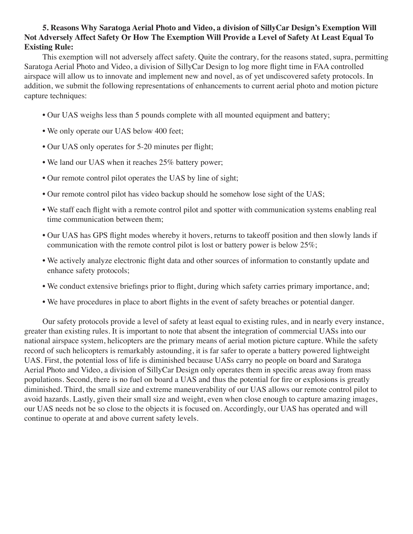# **5. Reasons Why Saratoga Aerial Photo and Video, a division of SillyCar Design's Exemption Will Not Adversely Affect Safety Or How The Exemption Will Provide a Level of Safety At Least Equal To Existing Rule:**

This exemption will not adversely affect safety. Quite the contrary, for the reasons stated, supra, permitting Saratoga Aerial Photo and Video, a division of SillyCar Design to log more flight time in FAA controlled airspace will allow us to innovate and implement new and novel, as of yet undiscovered safety protocols. In addition, we submit the following representations of enhancements to current aerial photo and motion picture capture techniques:

- Our UAS weighs less than 5 pounds complete with all mounted equipment and battery;
- We only operate our UAS below 400 feet;
- Our UAS only operates for 5-20 minutes per flight;
- We land our UAS when it reaches 25% battery power;
- Our remote control pilot operates the UAS by line of sight;
- Our remote control pilot has video backup should he somehow lose sight of the UAS;
- We staff each flight with a remote control pilot and spotter with communication systems enabling real time communication between them;
- Our UAS has GPS flight modes whereby it hovers, returns to takeoff position and then slowly lands if communication with the remote control pilot is lost or battery power is below 25%;
- We actively analyze electronic flight data and other sources of information to constantly update and enhance safety protocols;
- We conduct extensive briefings prior to flight, during which safety carries primary importance, and;
- We have procedures in place to abort flights in the event of safety breaches or potential danger.

Our safety protocols provide a level of safety at least equal to existing rules, and in nearly every instance, greater than existing rules. It is important to note that absent the integration of commercial UASs into our national airspace system, helicopters are the primary means of aerial motion picture capture. While the safety record of such helicopters is remarkably astounding, it is far safer to operate a battery powered lightweight UAS. First, the potential loss of life is diminished because UASs carry no people on board and Saratoga Aerial Photo and Video, a division of SillyCar Design only operates them in specific areas away from mass populations. Second, there is no fuel on board a UAS and thus the potential for fire or explosions is greatly diminished. Third, the small size and extreme maneuverability of our UAS allows our remote control pilot to avoid hazards. Lastly, given their small size and weight, even when close enough to capture amazing images, our UAS needs not be so close to the objects it is focused on. Accordingly, our UAS has operated and will continue to operate at and above current safety levels.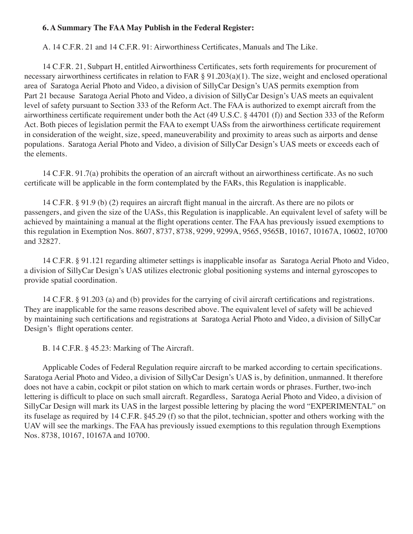# **6. A Summary The FAA May Publish in the Federal Register:**

A. 14 C.F.R. 21 and 14 C.F.R. 91: Airworthiness Certificates, Manuals and The Like.

14 C.F.R. 21, Subpart H, entitled Airworthiness Certificates, sets forth requirements for procurement of necessary airworthiness certificates in relation to FAR § 91.203(a)(1). The size, weight and enclosed operational area of Saratoga Aerial Photo and Video, a division of SillyCar Design's UAS permits exemption from Part 21 because Saratoga Aerial Photo and Video, a division of SillyCar Design's UAS meets an equivalent level of safety pursuant to Section 333 of the Reform Act. The FAA is authorized to exempt aircraft from the airworthiness certificate requirement under both the Act (49 U.S.C. § 44701 (f)) and Section 333 of the Reform Act. Both pieces of legislation permit the FAA to exempt UASs from the airworthiness certificate requirement in consideration of the weight, size, speed, maneuverability and proximity to areas such as airports and dense populations. Saratoga Aerial Photo and Video, a division of SillyCar Design's UAS meets or exceeds each of the elements.

14 C.F.R. 91.7(a) prohibits the operation of an aircraft without an airworthiness certificate. As no such certificate will be applicable in the form contemplated by the FARs, this Regulation is inapplicable.

14 C.F.R. § 91.9 (b) (2) requires an aircraft flight manual in the aircraft. As there are no pilots or passengers, and given the size of the UASs, this Regulation is inapplicable. An equivalent level of safety will be achieved by maintaining a manual at the flight operations center. The FAA has previously issued exemptions to this regulation in Exemption Nos. 8607, 8737, 8738, 9299, 9299A, 9565, 9565B, 10167, 10167A, 10602, 10700 and 32827.

14 C.F.R. § 91.121 regarding altimeter settings is inapplicable insofar as Saratoga Aerial Photo and Video, a division of SillyCar Design's UAS utilizes electronic global positioning systems and internal gyroscopes to provide spatial coordination.

14 C.F.R. § 91.203 (a) and (b) provides for the carrying of civil aircraft certifications and registrations. They are inapplicable for the same reasons described above. The equivalent level of safety will be achieved by maintaining such certifications and registrations at Saratoga Aerial Photo and Video, a division of SillyCar Design's flight operations center.

B. 14 C.F.R. § 45.23: Marking of The Aircraft.

Applicable Codes of Federal Regulation require aircraft to be marked according to certain specifications. Saratoga Aerial Photo and Video, a division of SillyCar Design's UAS is, by definition, unmanned. It therefore does not have a cabin, cockpit or pilot station on which to mark certain words or phrases. Further, two-inch lettering is difficult to place on such small aircraft. Regardless, Saratoga Aerial Photo and Video, a division of SillyCar Design will mark its UAS in the largest possible lettering by placing the word "EXPERIMENTAL" on its fuselage as required by 14 C.F.R. §45.29 (f) so that the pilot, technician, spotter and others working with the UAV will see the markings. The FAA has previously issued exemptions to this regulation through Exemptions Nos. 8738, 10167, 10167A and 10700.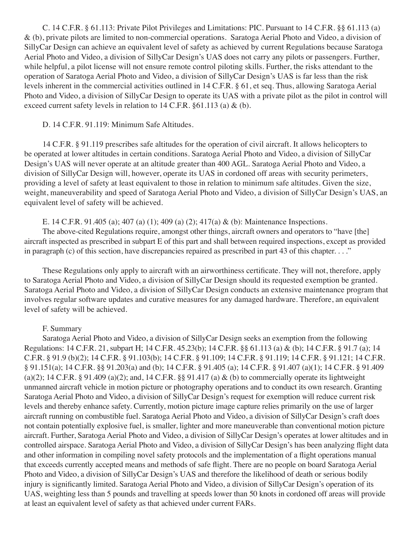C. 14 C.F.R. § 61.113: Private Pilot Privileges and Limitations: PIC. Pursuant to 14 C.F.R. §§ 61.113 (a) & (b), private pilots are limited to non-commercial operations. Saratoga Aerial Photo and Video, a division of SillyCar Design can achieve an equivalent level of safety as achieved by current Regulations because Saratoga Aerial Photo and Video, a division of SillyCar Design's UAS does not carry any pilots or passengers. Further, while helpful, a pilot license will not ensure remote control piloting skills. Further, the risks attendant to the operation of Saratoga Aerial Photo and Video, a division of SillyCar Design's UAS is far less than the risk levels inherent in the commercial activities outlined in 14 C.F.R. § 61, et seq. Thus, allowing Saratoga Aerial Photo and Video, a division of SillyCar Design to operate its UAS with a private pilot as the pilot in control will exceed current safety levels in relation to 14 C.F.R. §61.113 (a) & (b).

#### D. 14 C.F.R. 91.119: Minimum Safe Altitudes.

14 C.F.R. § 91.119 prescribes safe altitudes for the operation of civil aircraft. It allows helicopters to be operated at lower altitudes in certain conditions. Saratoga Aerial Photo and Video, a division of SillyCar Design's UAS will never operate at an altitude greater than 400 AGL. Saratoga Aerial Photo and Video, a division of SillyCar Design will, however, operate its UAS in cordoned off areas with security perimeters, providing a level of safety at least equivalent to those in relation to minimum safe altitudes. Given the size, weight, maneuverability and speed of Saratoga Aerial Photo and Video, a division of SillyCar Design's UAS, an equivalent level of safety will be achieved.

## E. 14 C.F.R. 91.405 (a); 407 (a) (1); 409 (a) (2); 417(a) & (b): Maintenance Inspections.

The above-cited Regulations require, amongst other things, aircraft owners and operators to "have [the] aircraft inspected as prescribed in subpart E of this part and shall between required inspections, except as provided in paragraph (c) of this section, have discrepancies repaired as prescribed in part 43 of this chapter. . . ."

These Regulations only apply to aircraft with an airworthiness certificate. They will not, therefore, apply to Saratoga Aerial Photo and Video, a division of SillyCar Design should its requested exemption be granted. Saratoga Aerial Photo and Video, a division of SillyCar Design conducts an extensive maintenance program that involves regular software updates and curative measures for any damaged hardware. Therefore, an equivalent level of safety will be achieved.

## F. Summary

Saratoga Aerial Photo and Video, a division of SillyCar Design seeks an exemption from the following Regulations: 14 C.F.R. 21, subpart H; 14 C.F.R. 45.23(b); 14 C.F.R. §§ 61.113 (a) & (b); 14 C.F.R. § 91.7 (a); 14 C.F.R. § 91.9 (b)(2); 14 C.F.R. § 91.103(b); 14 C.F.R. § 91.109; 14 C.F.R. § 91.119; 14 C.F.R. § 91.121; 14 C.F.R. § 91.151(a); 14 C.F.R. §§ 91.203(a) and (b); 14 C.F.R. § 91.405 (a); 14 C.F.R. § 91.407 (a)(1); 14 C.F.R. § 91.409 (a)(2); 14 C.F.R. § 91.409 (a)(2); and, 14 C.F.R. §§ 91.417 (a)  $\&$  (b) to commercially operate its lightweight unmanned aircraft vehicle in motion picture or photography operations and to conduct its own research. Granting Saratoga Aerial Photo and Video, a division of SillyCar Design's request for exemption will reduce current risk levels and thereby enhance safety. Currently, motion picture image capture relies primarily on the use of larger aircraft running on combustible fuel. Saratoga Aerial Photo and Video, a division of SillyCar Design's craft does not contain potentially explosive fuel, is smaller, lighter and more maneuverable than conventional motion picture aircraft. Further, Saratoga Aerial Photo and Video, a division of SillyCar Design's operates at lower altitudes and in controlled airspace. Saratoga Aerial Photo and Video, a division of SillyCar Design's has been analyzing flight data and other information in compiling novel safety protocols and the implementation of a flight operations manual that exceeds currently accepted means and methods of safe flight. There are no people on board Saratoga Aerial Photo and Video, a division of SillyCar Design's UAS and therefore the likelihood of death or serious bodily injury is significantly limited. Saratoga Aerial Photo and Video, a division of SillyCar Design's operation of its UAS, weighting less than 5 pounds and travelling at speeds lower than 50 knots in cordoned off areas will provide at least an equivalent level of safety as that achieved under current FARs.